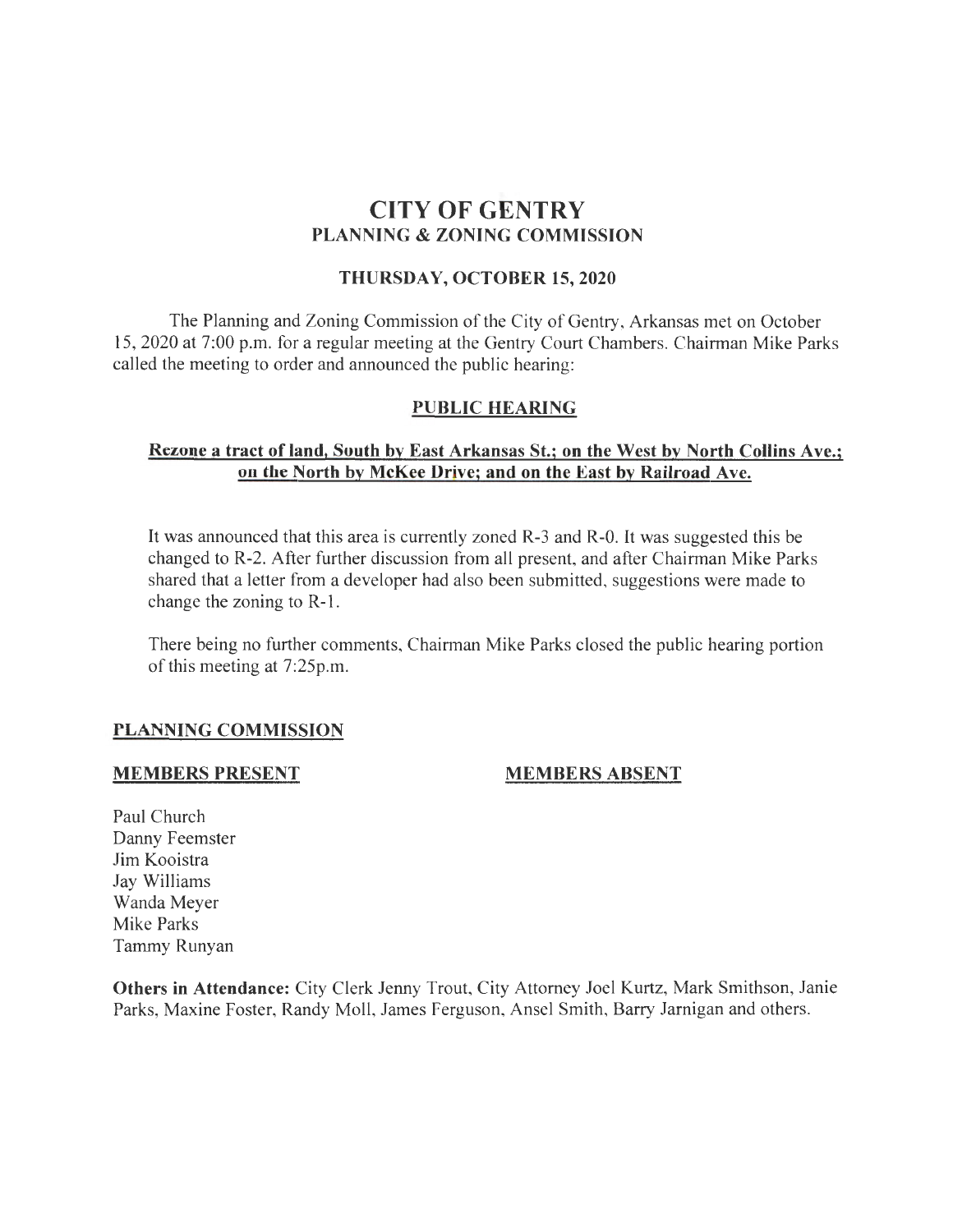# CITY OF GENTRY PLANNING & ZONING COMMISSION

#### THURSDAY, OCTOBER 15, 2020

The Planning and Zoning Commission of the City of Gentry, Arkansas met on October 15, 2020 at 7:00 p.m. for a regular meeting at the Gentry Court Chambers. Chairman Mike Parks called the meeting to order and announced the public hearing:

### PUBLIC HEARING

## Rezone a tract of land, South by East Arkansas St.; on the West by North Collins Ave.; on the North by McKee Drive; and on the East by Railroad Ave.

It was announced that this area is currently zoned R-3 and R-0. It was suggested this be changed to R-2. After further discussion from all present, and after Chairman Mike Parks shared that a letter from a developer had also been submitted, suggestions were made to change the zoning to R-1.

There being no further comments, Chairman Mike Parks closed the public hearing portion of this meeting at 7:25p.m.

### PLANNING COMMISSION

#### MEMBERS PRESENT

### MEMBERS ABSENT

Paul Church Danny Feemster Jim Kooistra Jay Williams Wanda Meyer Mike Parks Tammy Runyan

Others in Attendance: City Clerk Jenny Trout, City Attorney Joel Kurtz, Mark Smithson, Janie Parks, Maxine Foster, Randy Moll, James Ferguson, Ansel Smith, Barry Jarnigan and others.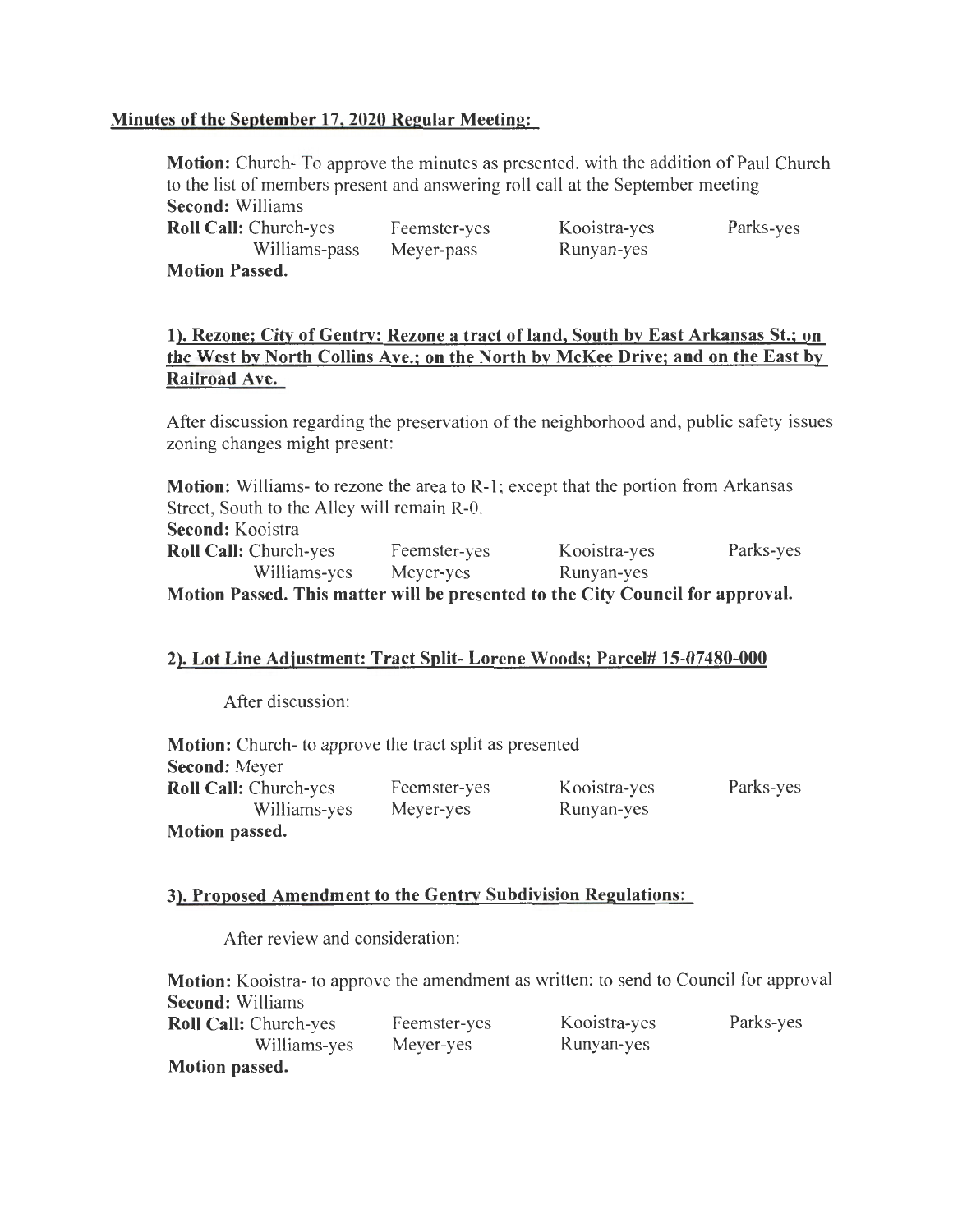## Minutes of the September 17, 2020 Regular Meeting:

Motion: Church- To approve the minutes as presented, with the addition of Paul Church to the list of members present and answering roll call at the September meeting Second: Williams Roll Call: Church-yes Williams-pass Feemster-yes Meyer-pass Kooistra-yes Runyan-yes Parks-yes

Motion Passed.

## 1). Rezone; City of Gentry: Rezone a tract of land, South by East Arkansas St.; on the West by North Collins Ave.; on the North by McKee Drive; and on the East by Railroad Ave.

After discussion regarding the preservation of the neighborhood and, public safety issues zoning changes might present:

Motion: Williams- to rezone the area to R-1; except that the portion from Arkansas Street, South to the Alley will remain R-0. Second: Kooistra Roll Call: Church-yes Feemster-yes Kooistra-yes Parks-yes Williams-yes Meyer-yes Runyan-yes Motion Passed. This matter will be presented to the City Council for approval.

### 2). Lot Line Adjustment: Tract Split- Lorene Woods; Parcel# 15-07480-000

After discussion:

| <b>Motion:</b> Church- to approve the tract split as presented |              |              |           |
|----------------------------------------------------------------|--------------|--------------|-----------|
| <b>Second: Meyer</b>                                           |              |              |           |
| <b>Roll Call: Church-yes</b>                                   | Feemster-yes | Kooistra-yes | Parks-yes |
| Williams-yes                                                   | Meyer-yes    | Runyan-yes   |           |
| Motion passed.                                                 |              |              |           |

### 3). Proposed Amendment to the Gentry Subdivision Regulations:

After review and consideration:

| Motion: Kooistra- to approve the amendment as written; to send to Council for approval |              |              |           |
|----------------------------------------------------------------------------------------|--------------|--------------|-----------|
| <b>Second: Williams</b>                                                                |              |              |           |
| <b>Roll Call:</b> Church-yes                                                           | Feemster-yes | Kooistra-yes | Parks-yes |
| Williams-yes                                                                           | Meyer-yes    | Runyan-yes   |           |
| Motion passed.                                                                         |              |              |           |